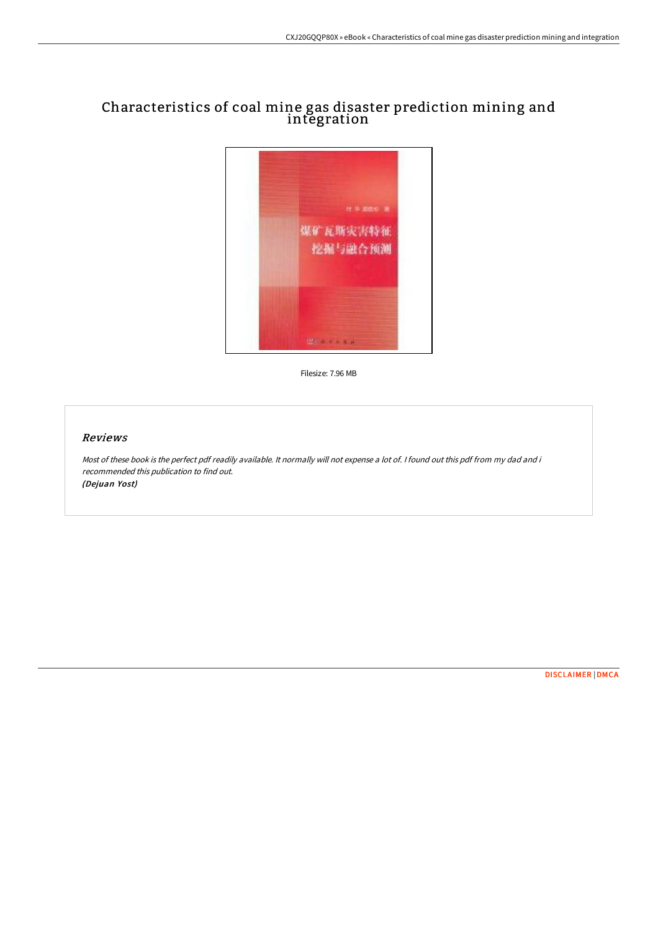# Characteristics of coal mine gas disaster prediction mining and integration



Filesize: 7.96 MB

### Reviews

Most of these book is the perfect pdf readily available. It normally will not expense <sup>a</sup> lot of. I found out this pdf from my dad and i recommended this publication to find out. (Dejuan Yost)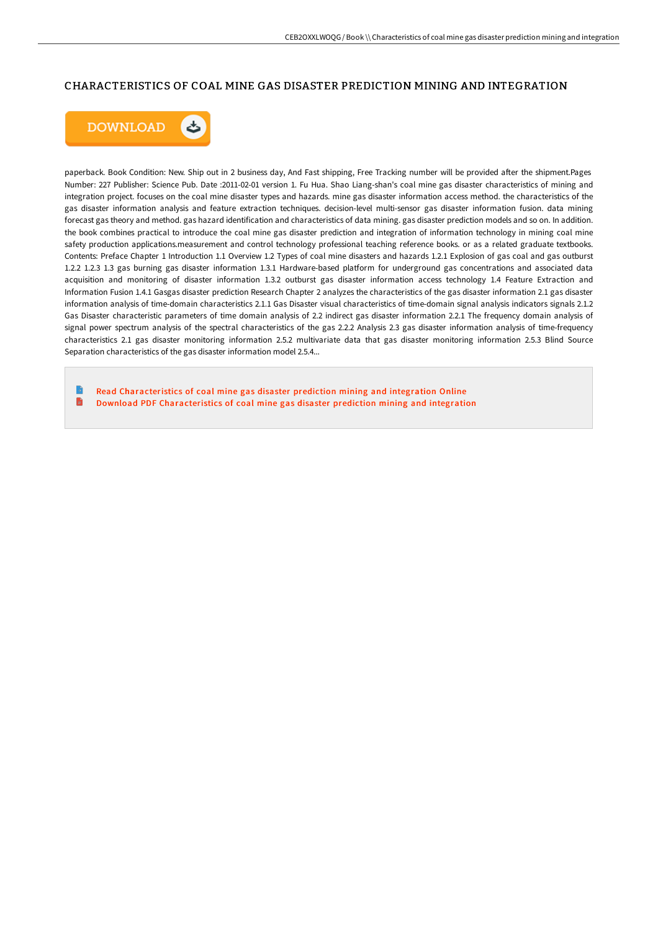### CHARACTERISTICS OF COAL MINE GAS DISASTER PREDICTION MINING AND INTEGRATION



paperback. Book Condition: New. Ship out in 2 business day, And Fast shipping, Free Tracking number will be provided after the shipment.Pages Number: 227 Publisher: Science Pub. Date :2011-02-01 version 1. Fu Hua. Shao Liang-shan's coal mine gas disaster characteristics of mining and integration project. focuses on the coal mine disaster types and hazards. mine gas disaster information access method. the characteristics of the gas disaster information analysis and feature extraction techniques. decision-level multi-sensor gas disaster information fusion. data mining forecast gas theory and method. gas hazard identification and characteristics of data mining. gas disaster prediction models and so on. In addition. the book combines practical to introduce the coal mine gas disaster prediction and integration of information technology in mining coal mine safety production applications.measurement and control technology professional teaching reference books. or as a related graduate textbooks. Contents: Preface Chapter 1 Introduction 1.1 Overview 1.2 Types of coal mine disasters and hazards 1.2.1 Explosion of gas coal and gas outburst 1.2.2 1.2.3 1.3 gas burning gas disaster information 1.3.1 Hardware-based platform for underground gas concentrations and associated data acquisition and monitoring of disaster information 1.3.2 outburst gas disaster information access technology 1.4 Feature Extraction and Information Fusion 1.4.1 Gasgas disaster prediction Research Chapter 2 analyzes the characteristics of the gas disaster information 2.1 gas disaster information analysis of time-domain characteristics 2.1.1 Gas Disaster visual characteristics of time-domain signal analysis indicators signals 2.1.2 Gas Disaster characteristic parameters of time domain analysis of 2.2 indirect gas disaster information 2.2.1 The frequency domain analysis of signal power spectrum analysis of the spectral characteristics of the gas 2.2.2 Analysis 2.3 gas disaster information analysis of time-frequency characteristics 2.1 gas disaster monitoring information 2.5.2 multivariate data that gas disaster monitoring information 2.5.3 Blind Source Separation characteristics of the gas disaster information model 2.5.4...

Read [Characteristics](http://techno-pub.tech/characteristics-of-coal-mine-gas-disaster-predic.html) of coal mine gas disaster prediction mining and integration Online  $\blacksquare$ Download PDF [Characteristics](http://techno-pub.tech/characteristics-of-coal-mine-gas-disaster-predic.html) of coal mine gas disaster prediction mining and integration